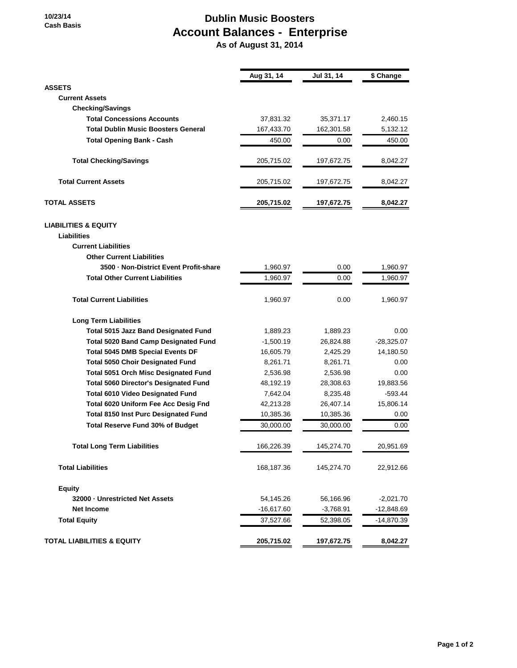**10/23/14 Cash Basis**

## **Dublin Music Boosters Account Balances - Enterprise**

 **As of August 31, 2014**

|                                              | Aug 31, 14   | Jul 31, 14  | \$ Change    |
|----------------------------------------------|--------------|-------------|--------------|
| <b>ASSETS</b>                                |              |             |              |
| <b>Current Assets</b>                        |              |             |              |
| <b>Checking/Savings</b>                      |              |             |              |
| <b>Total Concessions Accounts</b>            | 37,831.32    | 35,371.17   | 2,460.15     |
| <b>Total Dublin Music Boosters General</b>   | 167,433.70   | 162,301.58  | 5,132.12     |
| <b>Total Opening Bank - Cash</b>             | 450.00       | 0.00        | 450.00       |
| <b>Total Checking/Savings</b>                | 205,715.02   | 197,672.75  | 8,042.27     |
| <b>Total Current Assets</b>                  | 205,715.02   | 197,672.75  | 8,042.27     |
| <b>TOTAL ASSETS</b>                          | 205,715.02   | 197,672.75  | 8,042.27     |
| <b>LIABILITIES &amp; EQUITY</b>              |              |             |              |
| <b>Liabilities</b>                           |              |             |              |
| <b>Current Liabilities</b>                   |              |             |              |
| <b>Other Current Liabilities</b>             |              |             |              |
| 3500 - Non-District Event Profit-share       | 1,960.97     | 0.00        | 1,960.97     |
| <b>Total Other Current Liabilities</b>       | 1,960.97     | 0.00        | 1,960.97     |
| <b>Total Current Liabilities</b>             | 1,960.97     | 0.00        | 1,960.97     |
| <b>Long Term Liabilities</b>                 |              |             |              |
| <b>Total 5015 Jazz Band Designated Fund</b>  | 1,889.23     | 1,889.23    | 0.00         |
| <b>Total 5020 Band Camp Designated Fund</b>  | $-1,500.19$  | 26,824.88   | $-28,325.07$ |
| <b>Total 5045 DMB Special Events DF</b>      | 16,605.79    | 2,425.29    | 14,180.50    |
| <b>Total 5050 Choir Designated Fund</b>      | 8,261.71     | 8,261.71    | 0.00         |
| <b>Total 5051 Orch Misc Designated Fund</b>  | 2,536.98     | 2,536.98    | 0.00         |
| <b>Total 5060 Director's Designated Fund</b> | 48,192.19    | 28,308.63   | 19,883.56    |
| <b>Total 6010 Video Designated Fund</b>      | 7,642.04     | 8,235.48    | $-593.44$    |
| Total 6020 Uniform Fee Acc Desig Fnd         | 42,213.28    | 26,407.14   | 15,806.14    |
| <b>Total 8150 Inst Purc Designated Fund</b>  | 10,385.36    | 10,385.36   | 0.00         |
| Total Reserve Fund 30% of Budget             | 30,000.00    | 30,000.00   | 0.00         |
| <b>Total Long Term Liabilities</b>           | 166,226.39   | 145,274.70  | 20,951.69    |
| <b>Total Liabilities</b>                     | 168,187.36   | 145,274.70  | 22,912.66    |
| <b>Equity</b>                                |              |             |              |
| 32000 - Unrestricted Net Assets              | 54,145.26    | 56,166.96   | $-2,021.70$  |
| <b>Net Income</b>                            | $-16,617.60$ | $-3,768.91$ | $-12,848.69$ |
| <b>Total Equity</b>                          | 37,527.66    | 52,398.05   | -14,870.39   |
| <b>TOTAL LIABILITIES &amp; EQUITY</b>        | 205,715.02   | 197,672.75  | 8,042.27     |